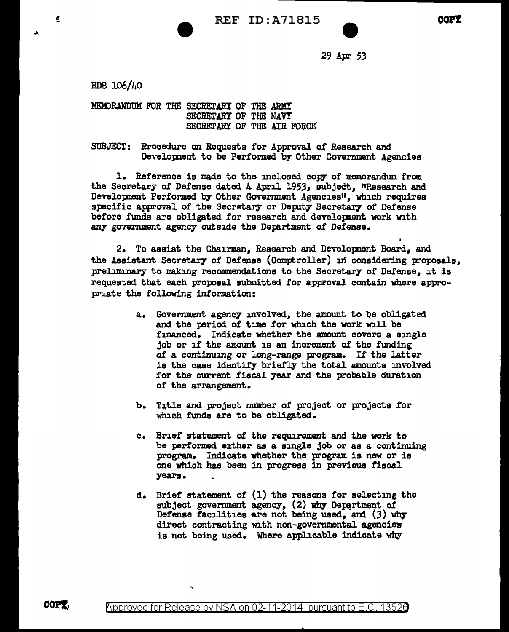29 Apr *53* 

RDB 106/40

¢

MEMORANDUM FOR THE SECRETARY OF THE ARMY SECRETARY OF THE NAVY SECRErARY OF THE AIR FORCE

SUBJECT: Rrocedure on Requests for Approval of Research and Developnent to be Performed by Other Government Agencies

1. Reference is made to the mclosed. *cow* of memorandum from the Secretary of Defense dated  $4$  April 1953, subject, "Research and Developnent Performed. by other Government Agencies", which requires specific approval of the Secretary or Depity Secretary of Defense before funds are obligated for research and development work with any government agency outside the Department of Defense.

2. To assist the Chairman, Research and Developnent Board, and the Assistant Secretary of Defense (Comptroller) in considering proposals, preliminary to making recommendations to the Secretary of Defense, it is requested that each proposal submitted. for approval contain where appropriate the following information:

- a. Government agency involved., the amount to be obligated and the period of time for which the work will be financed.. Indicate whether the amount covers a single job or if the amount is an increment of the funding of a continuing or long-range program. If the latter is the case identify briefly the total amounts involved for the current fiscal year and the probable duration of' the arrangement.
- b. T1tle and project number of project or projects tor which funds are to be obligated.
- c. Brief statement of the requirement and the work to be performed either as a single job or as a continuing program. Indicate whether the program is new or is one which has been in progress in previous fiscal years.
- d. Brief statement of' (1) the reasons for selecting the subject government agency,  $(2)$  why Department of Defense facilities are not being used, and (3) why direct contracting with non-governmental agencies is not being used. Where applicable indicate why

COPT.